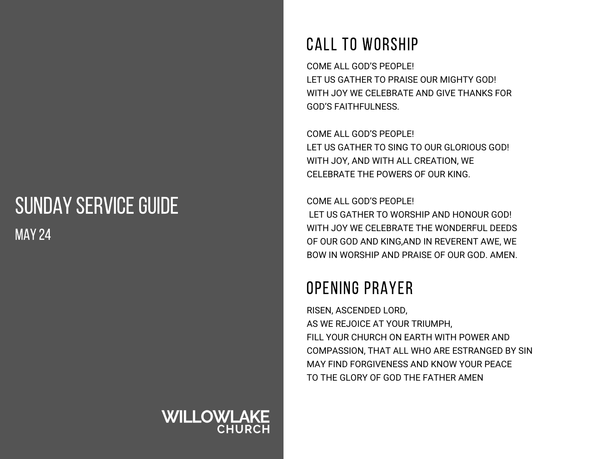## SUNDAY SERVICE GUIDE MAY 24

# **WILLOWLAKE**

### CALL TO WORSHIP

COME ALL GOD'S PEOPLE! LET US GATHER TO PRAISE OUR MIGHTY GOD! WITH JOY WE CELEBRATE AND GIVE THANKS FOR GOD'S FAITHFULNESS.

COME ALL GOD'S PEOPLE! LET US GATHER TO SING TO OUR GLORIOUS GOD! WITH JOY, AND WITH ALL CREATION, WE CELEBRATE THE POWERS OF OUR KING.

COME ALL GOD'S PEOPLE! LET US GATHER TO WORSHIP AND HONOUR GOD! WITH JOY WE CELEBRATE THE WONDERFUL DEEDS OF OUR GOD AND KING,AND IN REVERENT AWE, WE BOW IN WORSHIP AND PRAISE OF OUR GOD. AMEN.

### OPENING PRAYER

RISEN, ASCENDED LORD, AS WE REJOICE AT YOUR TRIUMPH, FILL YOUR CHURCH ON EARTH WITH POWER AND COMPASSION, THAT ALL WHO ARE ESTRANGED BY SIN MAY FIND FORGIVENESS AND KNOW YOUR PEACE TO THE GLORY OF GOD THE FATHER AMEN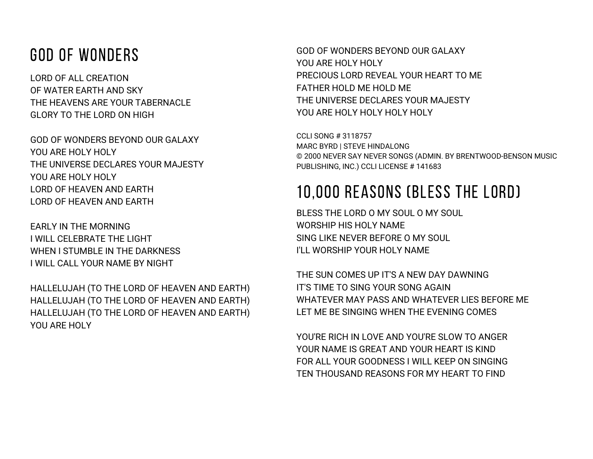#### GOD OF WONDERS

LORD OF ALL CREATION OF WATER EARTH AND SKY THE HEAVENS ARE YOUR TABERNACLE GLORY TO THE LORD ON HIGH

GOD OF WONDERS BEYOND OUR GALAXY YOU ARE HOLY HOLY THE UNIVERSE DECLARES YOUR MAJESTY YOU ARE HOLY HOLY LORD OF HEAVEN AND EARTH LORD OF HEAVEN AND EARTH

EARLY IN THE MORNING I WILL CELEBRATE THE LIGHT WHEN I STUMBLE IN THE DARKNESS I WILL CALL YOUR NAME BY NIGHT

HALLELUJAH (TO THE LORD OF HEAVEN AND EARTH) HALLELUJAH (TO THE LORD OF HEAVEN AND EARTH) HALLELUJAH (TO THE LORD OF HEAVEN AND EARTH) YOU ARE HOLY

GOD OF WONDERS BEYOND OUR GALAXY YOU ARE HOLY HOLY PRECIOUS LORD REVEAL YOUR HEART TO ME FATHER HOLD ME HOLD ME THE UNIVERSE DECLARES YOUR MAJESTY YOU ARE HOLY HOLY HOLY HOLY

CCLI SONG # 3118757 MARC BYRD | STEVE HINDALONG © 2000 NEVER SAY NEVER SONGS (ADMIN. BY BRENTWOOD-BENSON MUSIC PUBLISHING, INC.) CCLI LICENSE # 141683

### 10,000 REASONS (BLESS THE LORD)

BLESS THE LORD O MY SOUL O MY SOUL WORSHIP HIS HOLY NAME SING LIKE NEVER BEFORE O MY SOUL I'LL WORSHIP YOUR HOLY NAME

THE SUN COMES UP IT'S A NEW DAY DAWNING IT'S TIME TO SING YOUR SONG AGAIN WHATEVER MAY PASS AND WHATEVER LIES BEFORE ME LET ME BE SINGING WHEN THE EVENING COMES

YOU'RE RICH IN LOVE AND YOU'RE SLOW TO ANGER YOUR NAME IS GREAT AND YOUR HEART IS KIND FOR ALL YOUR GOODNESS I WILL KEEP ON SINGING TEN THOUSAND REASONS FOR MY HEART TO FIND